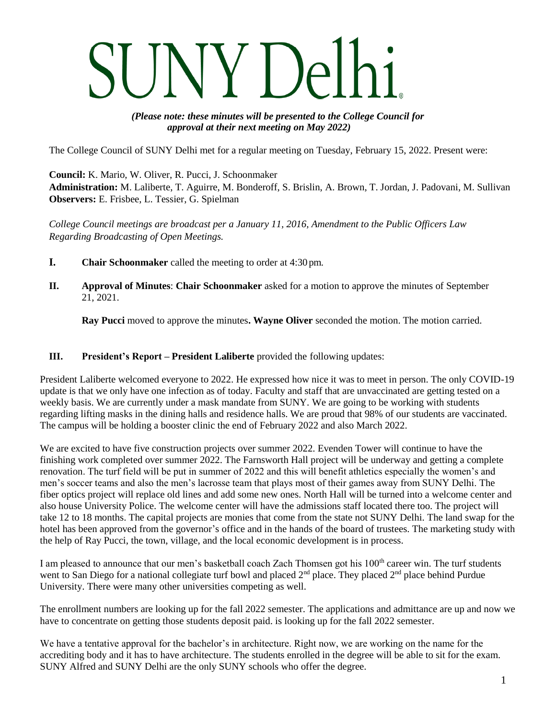*(Please note: these minutes will be presented to the College Council for approval at their next meeting on May 2022)*

The College Council of SUNY Delhi met for a regular meeting on Tuesday, February 15, 2022. Present were:

**Council:** K. Mario, W. Oliver, R. Pucci, J. Schoonmaker **Administration:** M. Laliberte, T. Aguirre, M. Bonderoff, S. Brislin, A. Brown, T. Jordan, J. Padovani, M. Sullivan **Observers:** E. Frisbee, L. Tessier, G. Spielman

*College Council meetings are broadcast per a January 11, 2016, Amendment to the Public Officers Law Regarding Broadcasting of Open Meetings.*

- **I. Chair Schoonmaker** called the meeting to order at 4:30 pm.
- **II. Approval of Minutes**: **Chair Schoonmaker** asked for a motion to approve the minutes of September 21, 2021.

**Ray Pucci** moved to approve the minutes**. Wayne Oliver** seconded the motion. The motion carried.

#### **III. President's Report – President Laliberte** provided the following updates:

President Laliberte welcomed everyone to 2022. He expressed how nice it was to meet in person. The only COVID-19 update is that we only have one infection as of today. Faculty and staff that are unvaccinated are getting tested on a weekly basis. We are currently under a mask mandate from SUNY. We are going to be working with students regarding lifting masks in the dining halls and residence halls. We are proud that 98% of our students are vaccinated. The campus will be holding a booster clinic the end of February 2022 and also March 2022.

We are excited to have five construction projects over summer 2022. Evenden Tower will continue to have the finishing work completed over summer 2022. The Farnsworth Hall project will be underway and getting a complete renovation. The turf field will be put in summer of 2022 and this will benefit athletics especially the women's and men's soccer teams and also the men's lacrosse team that plays most of their games away from SUNY Delhi. The fiber optics project will replace old lines and add some new ones. North Hall will be turned into a welcome center and also house University Police. The welcome center will have the admissions staff located there too. The project will take 12 to 18 months. The capital projects are monies that come from the state not SUNY Delhi. The land swap for the hotel has been approved from the governor's office and in the hands of the board of trustees. The marketing study with the help of Ray Pucci, the town, village, and the local economic development is in process.

I am pleased to announce that our men's basketball coach Zach Thomsen got his 100<sup>th</sup> career win. The turf students went to San Diego for a national collegiate turf bowl and placed 2<sup>nd</sup> place. They placed 2<sup>nd</sup> place behind Purdue University. There were many other universities competing as well.

The enrollment numbers are looking up for the fall 2022 semester. The applications and admittance are up and now we have to concentrate on getting those students deposit paid. is looking up for the fall 2022 semester.

We have a tentative approval for the bachelor's in architecture. Right now, we are working on the name for the accrediting body and it has to have architecture. The students enrolled in the degree will be able to sit for the exam. SUNY Alfred and SUNY Delhi are the only SUNY schools who offer the degree.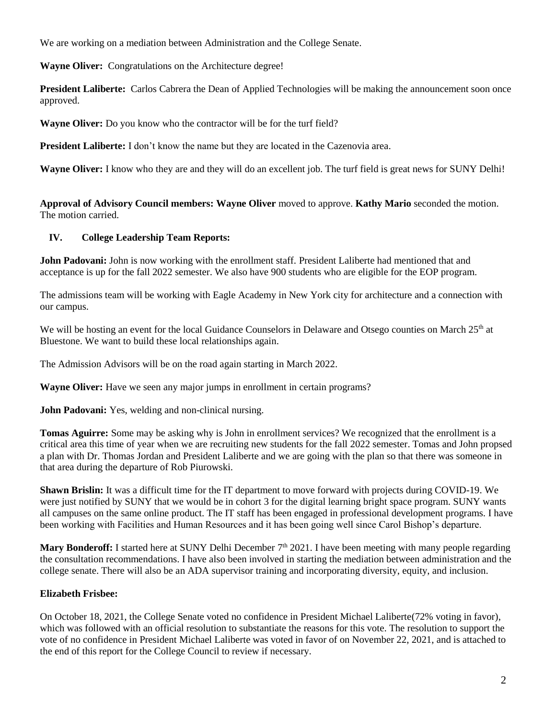We are working on a mediation between Administration and the College Senate.

**Wayne Oliver:** Congratulations on the Architecture degree!

**President Laliberte:** Carlos Cabrera the Dean of Applied Technologies will be making the announcement soon once approved.

**Wayne Oliver:** Do you know who the contractor will be for the turf field?

**President Laliberte:** I don't know the name but they are located in the Cazenovia area.

**Wayne Oliver:** I know who they are and they will do an excellent job. The turf field is great news for SUNY Delhi!

**Approval of Advisory Council members: Wayne Oliver** moved to approve. **Kathy Mario** seconded the motion. The motion carried.

## **IV. College Leadership Team Reports:**

**John Padovani:** John is now working with the enrollment staff. President Laliberte had mentioned that and acceptance is up for the fall 2022 semester. We also have 900 students who are eligible for the EOP program.

The admissions team will be working with Eagle Academy in New York city for architecture and a connection with our campus.

We will be hosting an event for the local Guidance Counselors in Delaware and Otsego counties on March 25<sup>th</sup> at Bluestone. We want to build these local relationships again.

The Admission Advisors will be on the road again starting in March 2022.

**Wayne Oliver:** Have we seen any major jumps in enrollment in certain programs?

**John Padovani:** Yes, welding and non-clinical nursing.

**Tomas Aguirre:** Some may be asking why is John in enrollment services? We recognized that the enrollment is a critical area this time of year when we are recruiting new students for the fall 2022 semester. Tomas and John propsed a plan with Dr. Thomas Jordan and President Laliberte and we are going with the plan so that there was someone in that area during the departure of Rob Piurowski.

**Shawn Brislin:** It was a difficult time for the IT department to move forward with projects during COVID-19. We were just notified by SUNY that we would be in cohort 3 for the digital learning bright space program. SUNY wants all campuses on the same online product. The IT staff has been engaged in professional development programs. I have been working with Facilities and Human Resources and it has been going well since Carol Bishop's departure.

**Mary Bonderoff:** I started here at SUNY Delhi December 7<sup>th</sup> 2021. I have been meeting with many people regarding the consultation recommendations. I have also been involved in starting the mediation between administration and the college senate. There will also be an ADA supervisor training and incorporating diversity, equity, and inclusion.

# **Elizabeth Frisbee:**

On October 18, 2021, the College Senate voted no confidence in President Michael Laliberte(72% voting in favor), which was followed with an official resolution to substantiate the reasons for this vote. The resolution to support the vote of no confidence in President Michael Laliberte was voted in favor of on November 22, 2021, and is attached to the end of this report for the College Council to review if necessary.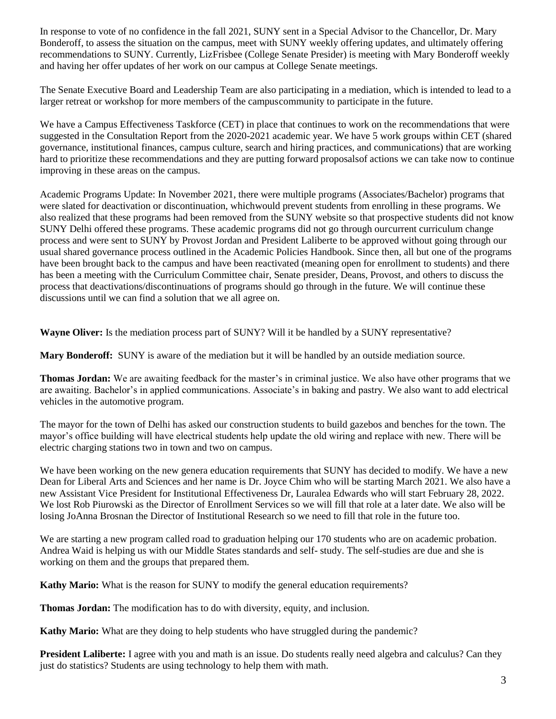In response to vote of no confidence in the fall 2021, SUNY sent in a Special Advisor to the Chancellor, Dr. Mary Bonderoff, to assess the situation on the campus, meet with SUNY weekly offering updates, and ultimately offering recommendations to SUNY. Currently, LizFrisbee (College Senate Presider) is meeting with Mary Bonderoff weekly and having her offer updates of her work on our campus at College Senate meetings.

The Senate Executive Board and Leadership Team are also participating in a mediation, which is intended to lead to a larger retreat or workshop for more members of the campuscommunity to participate in the future.

We have a Campus Effectiveness Taskforce (CET) in place that continues to work on the recommendations that were suggested in the Consultation Report from the 2020-2021 academic year. We have 5 work groups within CET (shared governance, institutional finances, campus culture, search and hiring practices, and communications) that are working hard to prioritize these recommendations and they are putting forward proposalsof actions we can take now to continue improving in these areas on the campus.

Academic Programs Update: In November 2021, there were multiple programs (Associates/Bachelor) programs that were slated for deactivation or discontinuation, whichwould prevent students from enrolling in these programs. We also realized that these programs had been removed from the SUNY website so that prospective students did not know SUNY Delhi offered these programs. These academic programs did not go through ourcurrent curriculum change process and were sent to SUNY by Provost Jordan and President Laliberte to be approved without going through our usual shared governance process outlined in the Academic Policies Handbook. Since then, all but one of the programs have been brought back to the campus and have been reactivated (meaning open for enrollment to students) and there has been a meeting with the Curriculum Committee chair, Senate presider, Deans, Provost, and others to discuss the process that deactivations/discontinuations of programs should go through in the future. We will continue these discussions until we can find a solution that we all agree on.

**Wayne Oliver:** Is the mediation process part of SUNY? Will it be handled by a SUNY representative?

**Mary Bonderoff:** SUNY is aware of the mediation but it will be handled by an outside mediation source.

**Thomas Jordan:** We are awaiting feedback for the master's in criminal justice. We also have other programs that we are awaiting. Bachelor's in applied communications. Associate's in baking and pastry. We also want to add electrical vehicles in the automotive program.

The mayor for the town of Delhi has asked our construction students to build gazebos and benches for the town. The mayor's office building will have electrical students help update the old wiring and replace with new. There will be electric charging stations two in town and two on campus.

We have been working on the new genera education requirements that SUNY has decided to modify. We have a new Dean for Liberal Arts and Sciences and her name is Dr. Joyce Chim who will be starting March 2021. We also have a new Assistant Vice President for Institutional Effectiveness Dr, Lauralea Edwards who will start February 28, 2022. We lost Rob Piurowski as the Director of Enrollment Services so we will fill that role at a later date. We also will be losing JoAnna Brosnan the Director of Institutional Research so we need to fill that role in the future too.

We are starting a new program called road to graduation helping our 170 students who are on academic probation. Andrea Waid is helping us with our Middle States standards and self- study. The self-studies are due and she is working on them and the groups that prepared them.

**Kathy Mario:** What is the reason for SUNY to modify the general education requirements?

**Thomas Jordan:** The modification has to do with diversity, equity, and inclusion.

**Kathy Mario:** What are they doing to help students who have struggled during the pandemic?

**President Laliberte:** I agree with you and math is an issue. Do students really need algebra and calculus? Can they just do statistics? Students are using technology to help them with math.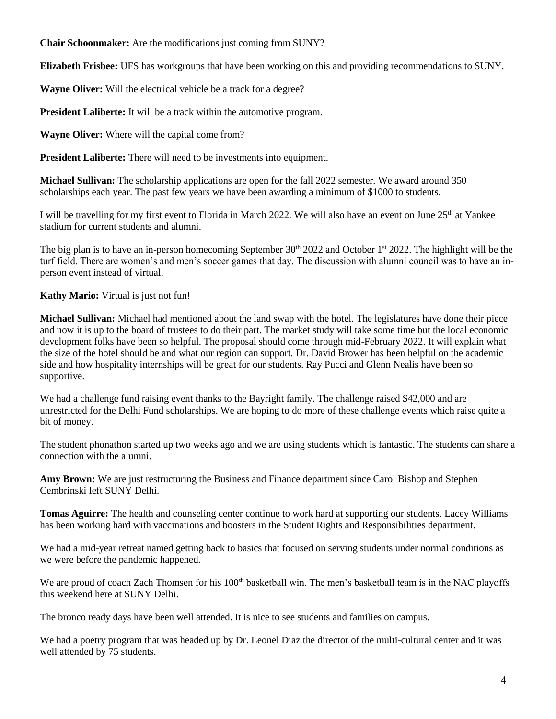**Chair Schoonmaker:** Are the modifications just coming from SUNY?

**Elizabeth Frisbee:** UFS has workgroups that have been working on this and providing recommendations to SUNY.

**Wayne Oliver:** Will the electrical vehicle be a track for a degree?

**President Laliberte:** It will be a track within the automotive program.

**Wayne Oliver:** Where will the capital come from?

**President Laliberte:** There will need to be investments into equipment.

**Michael Sullivan:** The scholarship applications are open for the fall 2022 semester. We award around 350 scholarships each year. The past few years we have been awarding a minimum of \$1000 to students.

I will be travelling for my first event to Florida in March 2022. We will also have an event on June 25<sup>th</sup> at Yankee stadium for current students and alumni.

The big plan is to have an in-person homecoming September  $30<sup>th</sup> 2022$  and October 1<sup>st</sup> 2022. The highlight will be the turf field. There are women's and men's soccer games that day. The discussion with alumni council was to have an inperson event instead of virtual.

## **Kathy Mario:** Virtual is just not fun!

**Michael Sullivan:** Michael had mentioned about the land swap with the hotel. The legislatures have done their piece and now it is up to the board of trustees to do their part. The market study will take some time but the local economic development folks have been so helpful. The proposal should come through mid-February 2022. It will explain what the size of the hotel should be and what our region can support. Dr. David Brower has been helpful on the academic side and how hospitality internships will be great for our students. Ray Pucci and Glenn Nealis have been so supportive.

We had a challenge fund raising event thanks to the Bayright family. The challenge raised \$42,000 and are unrestricted for the Delhi Fund scholarships. We are hoping to do more of these challenge events which raise quite a bit of money.

The student phonathon started up two weeks ago and we are using students which is fantastic. The students can share a connection with the alumni.

**Amy Brown:** We are just restructuring the Business and Finance department since Carol Bishop and Stephen Cembrinski left SUNY Delhi.

**Tomas Aguirre:** The health and counseling center continue to work hard at supporting our students. Lacey Williams has been working hard with vaccinations and boosters in the Student Rights and Responsibilities department.

We had a mid-year retreat named getting back to basics that focused on serving students under normal conditions as we were before the pandemic happened.

We are proud of coach Zach Thomsen for his 100<sup>th</sup> basketball win. The men's basketball team is in the NAC playoffs this weekend here at SUNY Delhi.

The bronco ready days have been well attended. It is nice to see students and families on campus.

We had a poetry program that was headed up by Dr. Leonel Diaz the director of the multi-cultural center and it was well attended by 75 students.